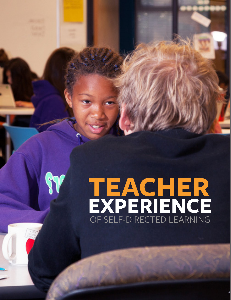# **TEACHER EXPERIENCE** OF SELF-DIRECTED LEARNING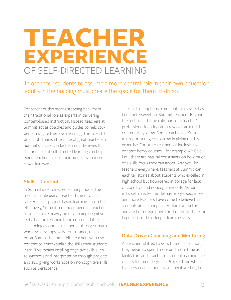## **TEACHER EXPERIENCE** OF SELF-DIRECTED LEARNING

In order for students to assume a more central role in their own education, adults in the building must create the space for them to do so.

For teachers, this means stepping back from their traditional role as experts in delivering content-based instruction. Instead, teachers at Summit act as coaches and guides to help students navigate their own learning. This role shift does not diminish the value of great teachers to Summit's success; in fact, Summit believes that the principle of self-directed learning can help guide teachers to use their time in even more rewarding ways.

#### **Skills + Content**

In Summit's self-directed learning model, the most valuable use of teacher time is to facilitate excellent project-based learning. To do this effectively, Summit has encouraged its teachers to focus more heavily on developing cognitive skills than on teaching basic content. Rather than being a content teacher in history or math who also develops skills, for instance, teachers at Summit become skills teachers who use content to contextualize the skills their students learn. This means instilling cognitive skills such as synthesis and interpretation through projects, and also giving workshops on noncognitive skills such as persistence.

The shift in emphasis from content to skills has been bittersweet for Summit teachers. Beyond the technical shift in role, part of a teacher's professional identity often revolves around the content they know. Some teachers at Summit report a tinge of sorrow in giving up this expertise. For other teachers of intrinsically content-heavy courses – for example, AP Calculus – there are natural constraints on how much of a skills focus they can adopt. And yet, like teachers everywhere, teachers at Summit can each tell stories about students who excelled in high school but floundered in college for lack of cognitive and noncognitive skills. As Summit's self-directed model has progressed, more and more teachers have come to believe that students are learning faster than ever before and are better equipped for the future, thanks in large part to their deeper learning skills.

### **Data-Driven Coaching and Mentoring**

As teachers shifted to skills-based instruction, they began to spend more and more time as facilitators and coaches of student learning. This occurs to some degree in Project Time when teachers coach students on cognitive skills, but